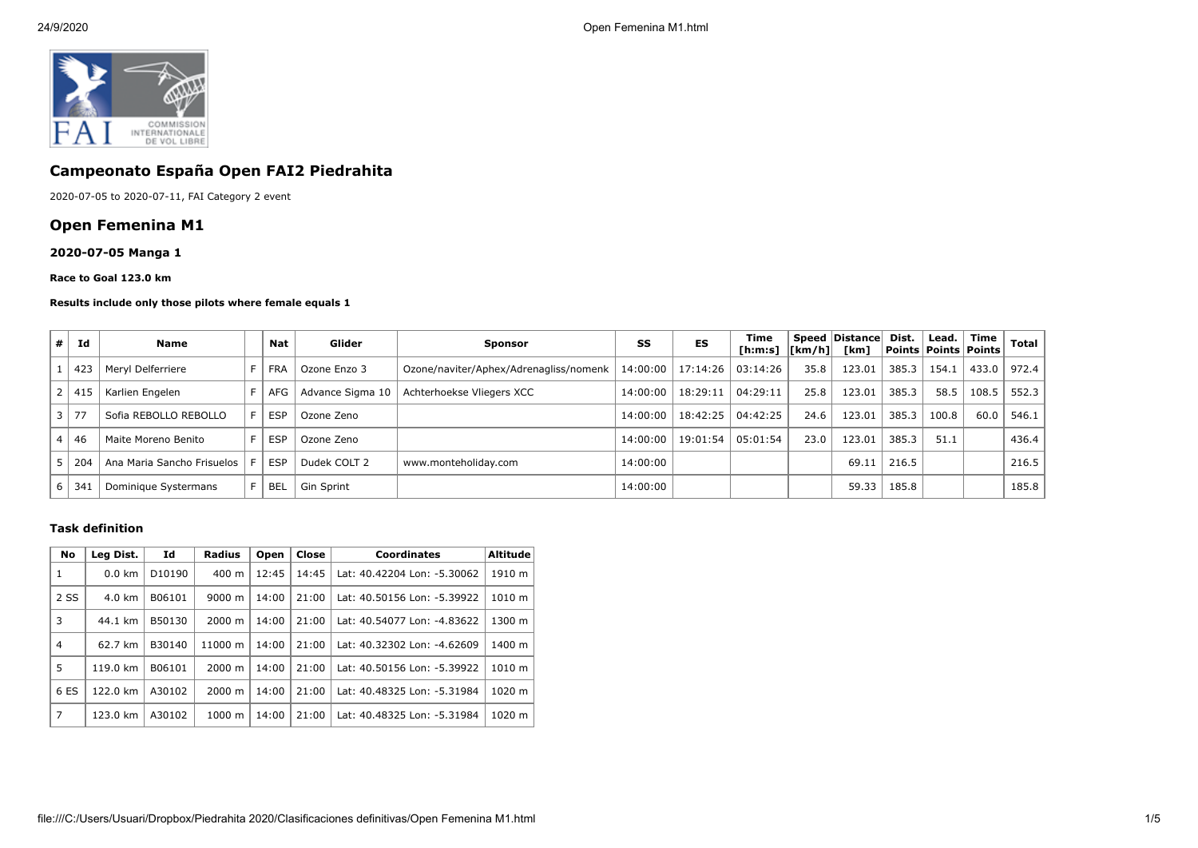

# **Campeonato España Open FAI2 Piedrahita**

2020-07-05 to 2020-07-11, FAI Category 2 event

# **Open Femenina M1**

## **2020-07-05 Manga 1**

#### **Race to Goal 123.0 km**

#### **Results include only those pilots where female equals 1**

| # | Id              | <b>Name</b>                |    | Nat        | Glider           | <b>Sponsor</b>                         | SS       | <b>ES</b>           | Time<br>[h:m:s]   [km/h]   [km] |      | <b>Speed Distancel</b> | Dist. | Lead. | Time<br>  Points   Points   Points | Total   |
|---|-----------------|----------------------------|----|------------|------------------|----------------------------------------|----------|---------------------|---------------------------------|------|------------------------|-------|-------|------------------------------------|---------|
|   | 423             | Mervl Delferriere          |    | <b>FRA</b> | Ozone Enzo 3     | Ozone/naviter/Aphex/Adrenagliss/nomenk |          | 14:00:00   17:14:26 | 03:14:26                        | 35.8 | 123.01                 | 385.3 | 154.1 | 433.0                              | 972.4 l |
|   | ' 41.           | Karlien Engelen            |    | AFG        | Advance Sigma 10 | Achterhoekse Vliegers XCC              | 14:00:00 | 18:29:11            | 04:29:11                        | 25.8 | 123.01                 | 385.3 | 58.5  | 108.5                              | 552.3   |
|   | $\overline{27}$ | Sofia REBOLLO REBOLLO      | F. | <b>ESP</b> | Ozone Zeno       |                                        | 14:00:00 | 18:42:25            | 04:42:25                        | 24.6 | 123.01                 | 385.3 | 100.8 | 60.0                               | 546.1   |
|   | 46              | Maite Moreno Benito        | F. | <b>ESP</b> | Ozone Zeno       |                                        | 14:00:00 | 19:01:54            | 05:01:54                        | 23.0 | 123.01                 | 385.3 | 51.1  |                                    | 436.4   |
|   | 204             | Ana Maria Sancho Frisuelos |    | <b>ESP</b> | Dudek COLT 2     | www.monteholiday.com                   | 14:00:00 |                     |                                 |      | 69.11                  | 216.5 |       |                                    | 216.5   |
|   | 34              | Dominique Systermans       |    | <b>BEL</b> | Gin Sprint       |                                        | 14:00:00 |                     |                                 |      | 59.33                  | 185.8 |       |                                    | 185.8   |

#### **Task definition**

| <b>No</b>      | Id<br>Leg Dist. |        | Radius             | Open  | Close<br><b>Coordinates</b> |                             | <b>Altitude</b> |  |
|----------------|-----------------|--------|--------------------|-------|-----------------------------|-----------------------------|-----------------|--|
| 1              | $0.0$ km        | D10190 | 400 m              | 12:45 | 14:45                       | Lat: 40.42204 Lon: -5.30062 | 1910 m          |  |
| 2 SS           | 4.0 km          | B06101 | $9000 \; \text{m}$ | 14:00 | 21:00                       | Lat: 40.50156 Lon: -5.39922 | 1010 m          |  |
| 3              | 44.1 km         | B50130 | 2000 m             | 14:00 | 21:00                       | Lat: 40.54077 Lon: -4.83622 | 1300 m          |  |
| $\overline{4}$ | 62.7 km         | B30140 | 11000 m            | 14:00 | 21:00                       | Lat: 40.32302 Lon: -4.62609 | 1400 m          |  |
| 5              | 119.0 km        | B06101 | $2000 \; \text{m}$ | 14:00 | 21:00                       | Lat: 40.50156 Lon: -5.39922 | 1010 m          |  |
| 6 ES           | 122.0 km        | A30102 | $2000 \; \text{m}$ | 14:00 | 21:00                       | Lat: 40.48325 Lon: -5.31984 | 1020 m          |  |
| 7              | 123.0 km        | A30102 | 1000 m             | 14:00 | 21:00                       | Lat: 40.48325 Lon: -5.31984 | 1020 m          |  |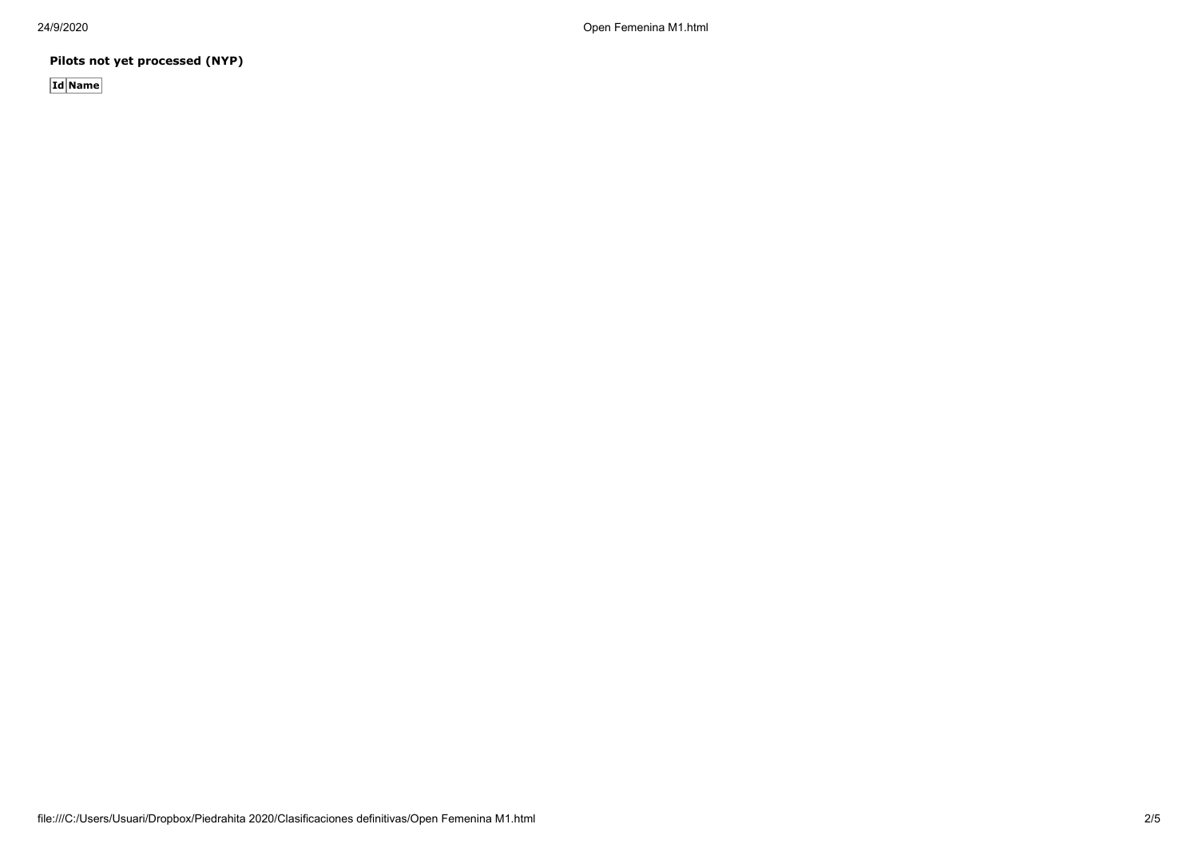24/9/2020 Open Femenina M1.html

**Pilots not yet processed (NYP)**

**Id Name**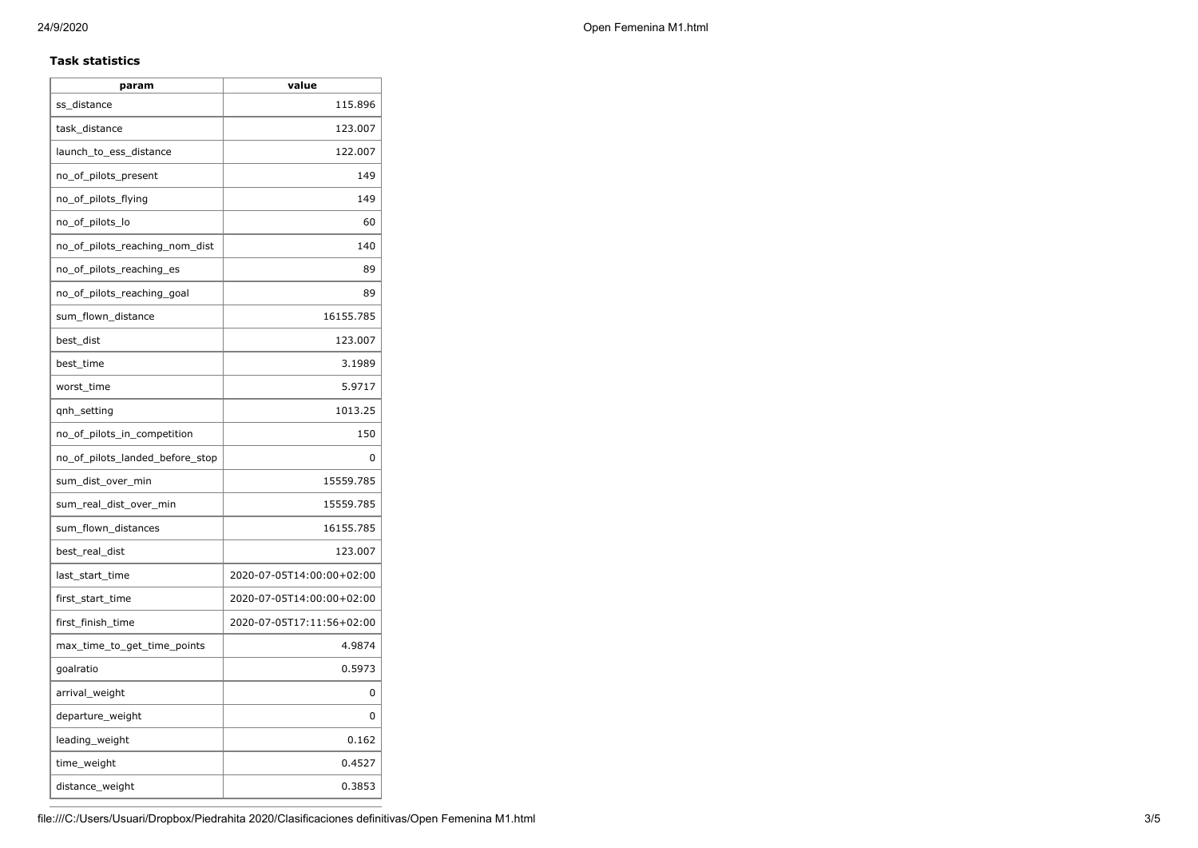## **Task statistics**

| param                           | value                     |  |  |  |  |
|---------------------------------|---------------------------|--|--|--|--|
| ss distance                     | 115.896                   |  |  |  |  |
| task distance                   | 123.007                   |  |  |  |  |
| launch_to_ess_distance          | 122.007                   |  |  |  |  |
| no_of_pilots_present            | 149                       |  |  |  |  |
| no_of_pilots_flying             | 149                       |  |  |  |  |
| no_of_pilots_lo                 | 60                        |  |  |  |  |
| no of pilots reaching nom dist  | 140                       |  |  |  |  |
| no of pilots reaching es        | 89                        |  |  |  |  |
| no_of_pilots_reaching_goal      | 89                        |  |  |  |  |
| sum_flown_distance              | 16155.785                 |  |  |  |  |
| best_dist                       | 123.007                   |  |  |  |  |
| best_time                       | 3.1989                    |  |  |  |  |
| worst_time                      | 5.9717                    |  |  |  |  |
| qnh_setting                     | 1013.25                   |  |  |  |  |
| no_of_pilots_in_competition     | 150                       |  |  |  |  |
| no_of_pilots_landed_before_stop | 0                         |  |  |  |  |
| sum_dist_over_min               | 15559.785                 |  |  |  |  |
| sum_real_dist_over_min          | 15559.785                 |  |  |  |  |
| sum_flown_distances             | 16155.785                 |  |  |  |  |
| best_real_dist                  | 123.007                   |  |  |  |  |
| last_start_time                 | 2020-07-05T14:00:00+02:00 |  |  |  |  |
| first_start_time                | 2020-07-05T14:00:00+02:00 |  |  |  |  |
| first_finish_time               | 2020-07-05T17:11:56+02:00 |  |  |  |  |
| max_time_to_get_time_points     | 4.9874                    |  |  |  |  |
| goalratio                       | 0.5973                    |  |  |  |  |
| arrival_weight                  | 0                         |  |  |  |  |
| departure_weight                | 0                         |  |  |  |  |
| leading_weight                  | 0.162                     |  |  |  |  |
| time_weight                     | 0.4527                    |  |  |  |  |
| distance_weight                 | 0.3853                    |  |  |  |  |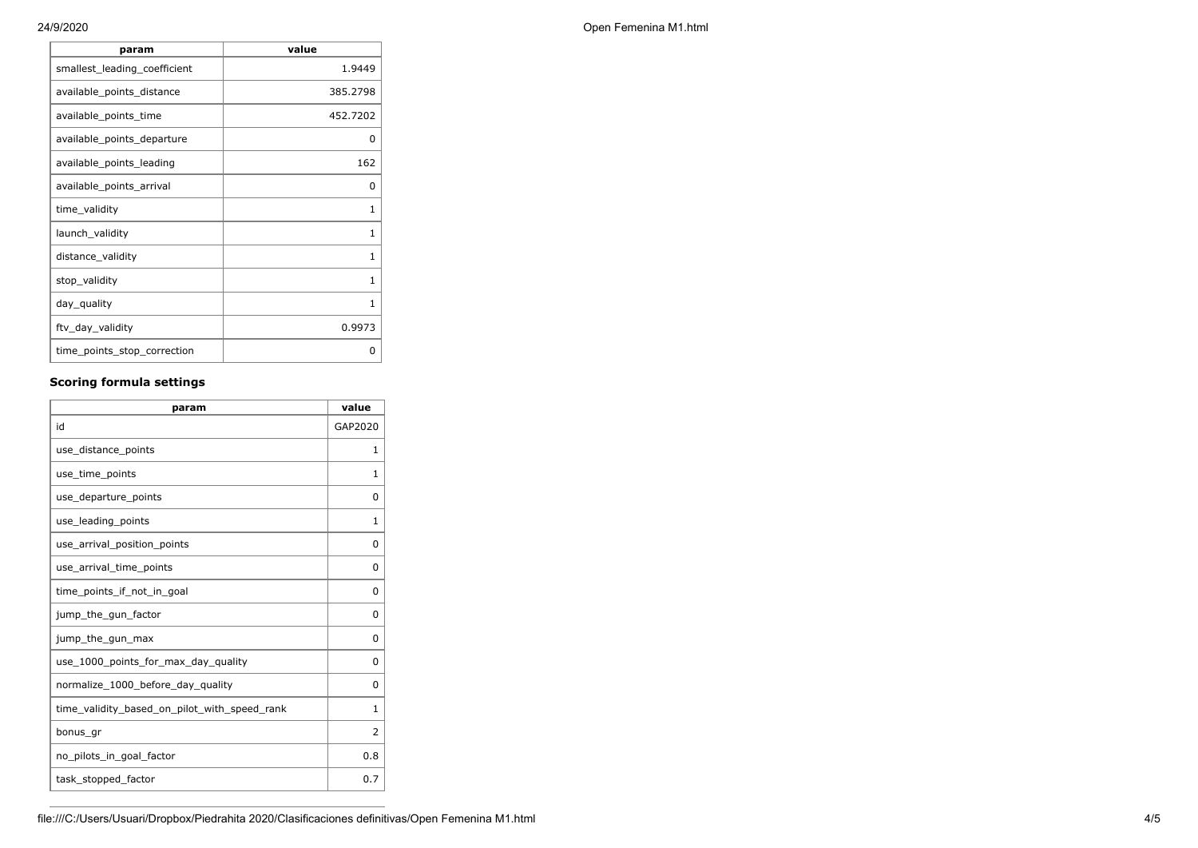| param                        | value        |
|------------------------------|--------------|
| smallest_leading_coefficient | 1.9449       |
| available_points_distance    | 385.2798     |
| available_points_time        | 452.7202     |
| available_points_departure   | 0            |
| available_points_leading     | 162          |
| available_points_arrival     | 0            |
| time_validity                | 1            |
| launch_validity              | 1            |
| distance_validity            | $\mathbf{1}$ |
| stop_validity                | $\mathbf{1}$ |
| day_quality                  | 1            |
| ftv_day_validity             | 0.9973       |
| time_points_stop_correction  | ი            |

## **Scoring formula settings**

| param                                        | value    |
|----------------------------------------------|----------|
| id                                           | GAP2020  |
| use_distance_points                          | 1        |
| use_time_points                              | 1        |
| use_departure_points                         | $\Omega$ |
| use_leading_points                           | 1        |
| use_arrival_position_points                  | 0        |
| use_arrival_time_points                      | 0        |
| time_points_if_not_in_goal                   | $\Omega$ |
| jump_the_gun_factor                          | $\Omega$ |
| jump_the_gun_max                             | 0        |
| use_1000_points_for_max_day_quality          | $\Omega$ |
| normalize_1000_before_day_quality            | $\Omega$ |
| time_validity_based_on_pilot_with_speed_rank | 1        |
| bonus_gr                                     | 2        |
| no_pilots_in_goal_factor                     | 0.8      |
| task_stopped_factor                          | 0.7      |

24/9/2020 Open Femenina M1.html